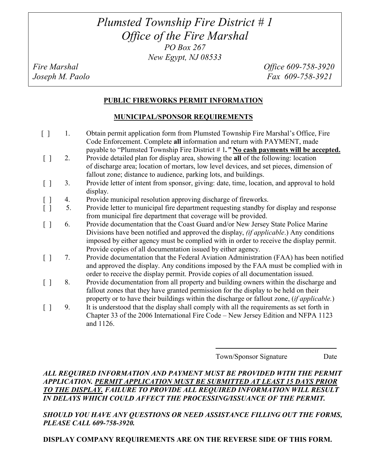# *Plumsted Township Fire District # 1 Office of the Fire Marshal PO Box 267 New Egypt, NJ 08533*

*Fire Marshal Office 609-758-3920 Joseph M. Paolo Fax 609-758-3921* 

### **PUBLIC FIREWORKS PERMIT INFORMATION**

#### **MUNICIPAL/SPONSOR REQUIREMENTS**

- [ ] 1. Obtain permit application form from Plumsted Township Fire Marshal's Office, Fire Code Enforcement. Complete **all** information and return with PAYMENT, made payable to "Plumsted Township Fire District # 1*."* **No cash payments will be accepted.** [ ] 2. Provide detailed plan for display area, showing the **all** of the following: location of discharge area; location of mortars, low level devices, and set pieces, dimension of fallout zone; distance to audience, parking lots, and buildings. [ ] 3. Provide letter of intent from sponsor, giving: date, time, location, and approval to hold display. [ ] 4. Provide municipal resolution approving discharge of fireworks. [ ] 5. Provide letter to municipal fire department requesting standby for display and response from municipal fire department that coverage will be provided. [ ] 6. Provide documentation that the Coast Guard and/or New Jersey State Police Marine Divisions have been notified and approved the display, *(if applicable*.) Any conditions imposed by either agency must be complied with in order to receive the display permit. Provide copies of all documentation issued by either agency. [ ] 7. Provide documentation that the Federal Aviation Administration (FAA) has been notified and approved the display. Any conditions imposed by the FAA must be complied with in order to receive the display permit. Provide copies of all documentation issued. [ ] 8. Provide documentation from all property and building owners within the discharge and fallout zones that they have granted permission for the display to be held on their property or to have their buildings within the discharge or fallout zone, (*if applicable.*)
	- [ ] 9. It is understood that the display shall comply with all the requirements as set forth in Chapter 33 of the 2006 International Fire Code – New Jersey Edition and NFPA 1123 and 1126.

Town/Sponsor Signature Date

## *ALL REQUIRED INFORMATION AND PAYMENT MUST BE PROVIDED WITH THE PERMIT APPLICATION. PERMIT APPLICATION MUST BE SUBMITTED AT LEAST 15 DAYS PRIOR TO THE DISPLAY. FAILURE TO PROVIDE ALL REQUIRED INFORMATION WILL RESULT IN DELAYS WHICH COULD AFFECT THE PROCESSING/ISSUANCE OF THE PERMIT.*

### *SHOULD YOU HAVE ANY QUESTIONS OR NEED ASSISTANCE FILLING OUT THE FORMS, PLEASE CALL 609-758-3920.*

**DISPLAY COMPANY REQUIREMENTS ARE ON THE REVERSE SIDE OF THIS FORM.**